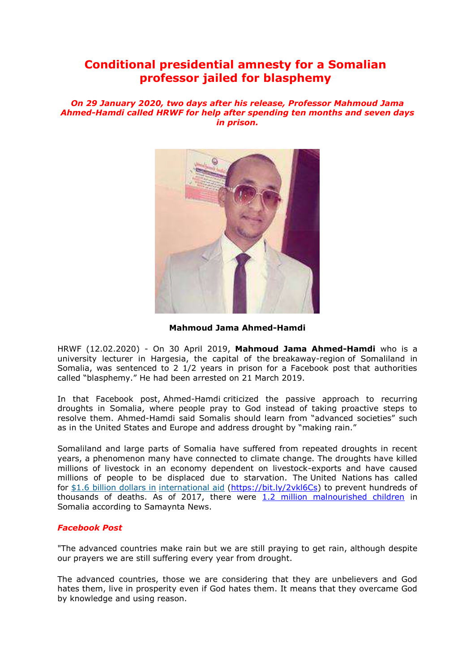# **Conditional presidential amnesty for a Somalian professor jailed for blasphemy**

*On 29 January 2020, two days after his release, Professor Mahmoud Jama Ahmed-Hamdi called HRWF for help after spending ten months and seven days in prison.*



**Mahmoud Jama Ahmed-Hamdi**

HRWF (12.02.2020) - On 30 April 2019, **Mahmoud Jama Ahmed-Hamdi** who is a university lecturer in Hargesia, the capital of the breakaway-region of Somaliland in Somalia, was sentenced to 2 1/2 years in prison for a Facebook post that authorities called "blasphemy." He had been arrested on 21 March 2019.

In that Facebook post, Ahmed-Hamdi criticized the passive approach to recurring droughts in Somalia, where people pray to God instead of taking proactive steps to resolve them. Ahmed-Hamdi said Somalis should learn from "advanced societies" such as in the United States and Europe and address drought by "making rain."

Somaliland and large parts of Somalia have suffered from repeated droughts in recent years, a phenomenon many have connected to climate change. The droughts have killed millions of livestock in an economy dependent on livestock-exports and have caused millions of people to be displaced due to starvation. The United Nations has called for \$1.6 billion [dollars](https://news.un.org/en/story/2018/01/1000602) in [international](https://news.un.org/en/story/2018/01/1000602) aid [\(https://bit.ly/2vkl6Cs\)](https://bit.ly/2vkl6Cs) to prevent hundreds of thousands of deaths. As of 2017, there were  $1.2$  million malnourished children in Somalia according to Samaynta News.

# *Facebook Post*

"The advanced countries make rain but we are still praying to get rain, although despite our prayers we are still suffering every year from drought.

The advanced countries, those we are considering that they are unbelievers and God hates them, live in prosperity even if God hates them. It means that they overcame God by knowledge and using reason.